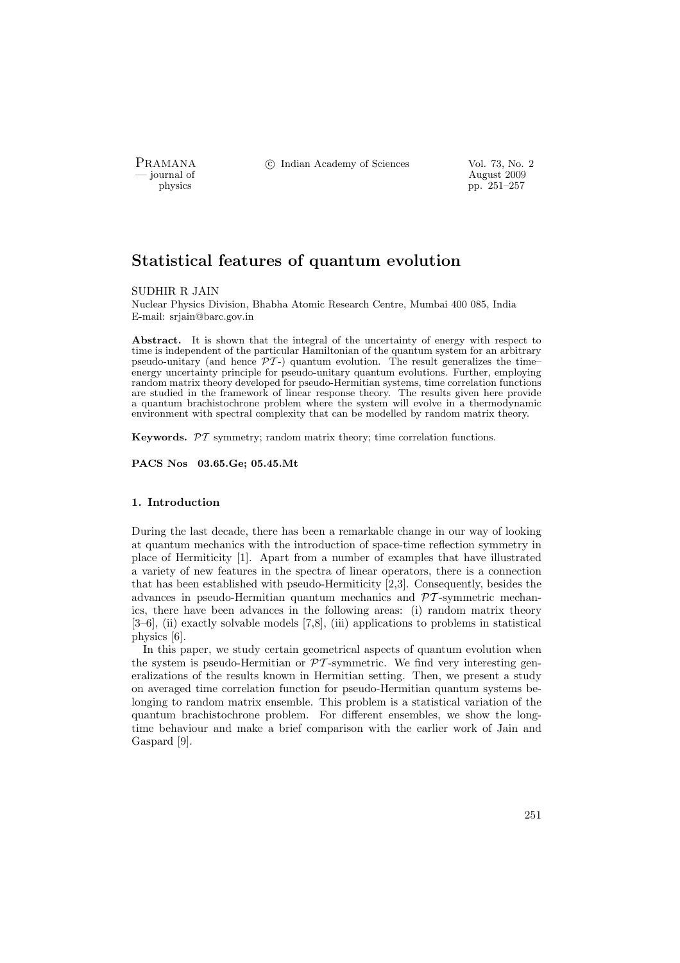PRAMANA °c Indian Academy of Sciences Vol. 73, No. 2

position of the contract of the contract of the contract of the contract of the contract of the contract of the contract of the contract of the contract of the contract of the contract of the contract of the contract of th physics pp. 251–257

# Statistical features of quantum evolution

SUDHIR R JAIN

Nuclear Physics Division, Bhabha Atomic Research Centre, Mumbai 400 085, India E-mail: srjain@barc.gov.in

Abstract. It is shown that the integral of the uncertainty of energy with respect to time is independent of the particular Hamiltonian of the quantum system for an arbitrary pseudo-unitary (and hence  $\mathcal{PT}$ -) quantum evolution. The result generalizes the timeenergy uncertainty principle for pseudo-unitary quantum evolutions. Further, employing random matrix theory developed for pseudo-Hermitian systems, time correlation functions are studied in the framework of linear response theory. The results given here provide a quantum brachistochrone problem where the system will evolve in a thermodynamic environment with spectral complexity that can be modelled by random matrix theory.

Keywords.  $\mathcal{PT}$  symmetry; random matrix theory; time correlation functions.

PACS Nos 03.65.Ge; 05.45.Mt

# 1. Introduction

During the last decade, there has been a remarkable change in our way of looking at quantum mechanics with the introduction of space-time reflection symmetry in place of Hermiticity [1]. Apart from a number of examples that have illustrated a variety of new features in the spectra of linear operators, there is a connection that has been established with pseudo-Hermiticity [2,3]. Consequently, besides the advances in pseudo-Hermitian quantum mechanics and  $\mathcal{P}T$ -symmetric mechanics, there have been advances in the following areas: (i) random matrix theory [3–6], (ii) exactly solvable models [7,8], (iii) applications to problems in statistical physics [6].

In this paper, we study certain geometrical aspects of quantum evolution when the system is pseudo-Hermitian or  $\mathcal{PT}$ -symmetric. We find very interesting generalizations of the results known in Hermitian setting. Then, we present a study on averaged time correlation function for pseudo-Hermitian quantum systems belonging to random matrix ensemble. This problem is a statistical variation of the quantum brachistochrone problem. For different ensembles, we show the longtime behaviour and make a brief comparison with the earlier work of Jain and Gaspard [9].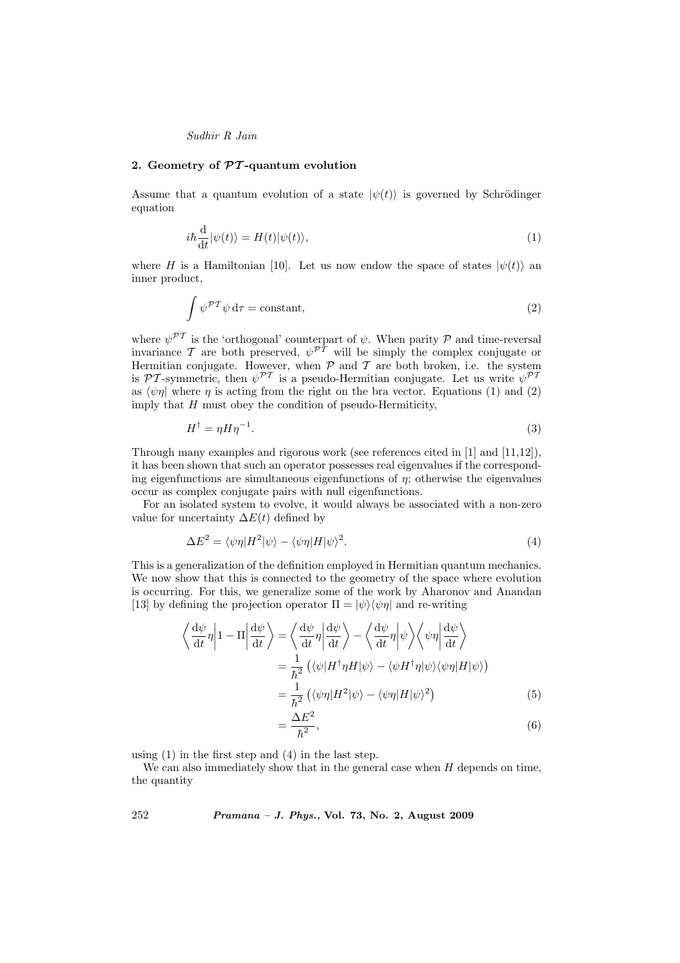## Sudhir R Jain

### 2. Geometry of  $\mathcal{P}\mathcal{T}$ -quantum evolution

Assume that a quantum evolution of a state  $|\psi(t)\rangle$  is governed by Schrödinger equation

$$
i\hbar \frac{\mathrm{d}}{\mathrm{d}t}|\psi(t)\rangle = H(t)|\psi(t)\rangle,\tag{1}
$$

where H is a Hamiltonian [10]. Let us now endow the space of states  $|\psi(t)\rangle$  and inner product,

$$
\int \psi^{\mathcal{PT}} \psi \, d\tau = \text{constant},\tag{2}
$$

where  $\psi^{\mathcal{PT}}$  is the 'orthogonal' counterpart of  $\psi$ . When parity  $\mathcal P$  and time-reversal invariance T are both preserved,  $\psi^{\mathcal{PT}}$  will be simply the complex conjugate or Hermitian conjugate. However, when  $P$  and  $T$  are both broken, i.e. the system is PT-symmetric, then  $\psi^{\mathcal{PT}}$  is a pseudo-Hermitian conjugate. Let us write  $\psi^{\mathcal{PT}}$ as  $\langle \psi \eta \rangle$  where  $\eta$  is acting from the right on the bra vector. Equations (1) and (2) imply that  $H$  must obey the condition of pseudo-Hermiticity,

$$
H^{\dagger} = \eta H \eta^{-1}.
$$
\n<sup>(3)</sup>

Through many examples and rigorous work (see references cited in [1] and [11,12]), it has been shown that such an operator possesses real eigenvalues if the corresponding eigenfunctions are simultaneous eigenfunctions of  $\eta$ ; otherwise the eigenvalues occur as complex conjugate pairs with null eigenfunctions.

For an isolated system to evolve, it would always be associated with a non-zero value for uncertainty  $\Delta E(t)$  defined by

$$
\Delta E^2 = \langle \psi \eta | H^2 | \psi \rangle - \langle \psi \eta | H | \psi \rangle^2. \tag{4}
$$

This is a generalization of the definition employed in Hermitian quantum mechanics. We now show that this is connected to the geometry of the space where evolution is occurring. For this, we generalize some of the work by Aharonov and Anandan [13] by defining the projection operator  $\Pi = |\psi\rangle \langle \psi \eta|$  and re-writing

$$
\left\langle \frac{d\psi}{dt} \eta \middle| 1 - \Pi \middle| \frac{d\psi}{dt} \right\rangle = \left\langle \frac{d\psi}{dt} \eta \middle| \frac{d\psi}{dt} \right\rangle - \left\langle \frac{d\psi}{dt} \eta \middle| \psi \right\rangle \left\langle \psi \eta \middle| \frac{d\psi}{dt} \right\rangle
$$

$$
= \frac{1}{\hbar^2} \left( \langle \psi | H^\dagger \eta H | \psi \rangle - \langle \psi H^\dagger \eta | \psi \rangle \langle \psi \eta | H | \psi \rangle \right)
$$

$$
= \frac{1}{\hbar^2} \left( \langle \psi \eta | H^2 | \psi \rangle - \langle \psi \eta | H | \psi \rangle^2 \right)
$$
(5)
$$
\Delta E^2
$$

$$
=\frac{\Delta E^2}{\hbar^2},\tag{6}
$$

using (1) in the first step and (4) in the last step.

=

We can also immediately show that in the general case when  $H$  depends on time, the quantity

252 Pramana – J. Phys., Vol. 73, No. 2, August 2009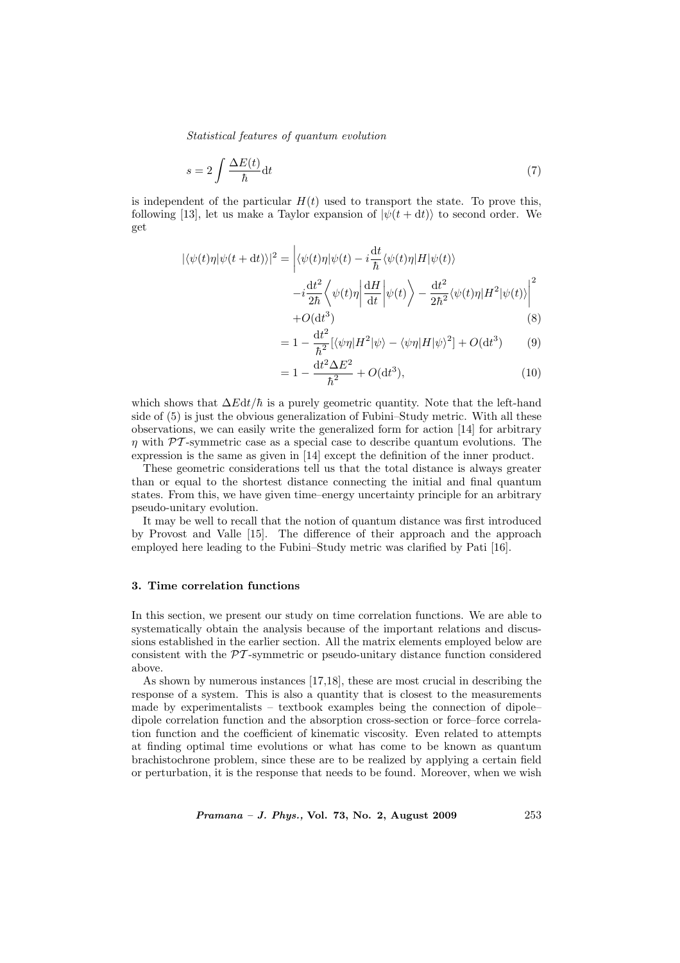Statistical features of quantum evolution

$$
s = 2 \int \frac{\Delta E(t)}{\hbar} \mathrm{d}t \tag{7}
$$

is independent of the particular  $H(t)$  used to transport the state. To prove this, following [13], let us make a Taylor expansion of  $|\psi(t+dt)\rangle$  to second order. We get

$$
|\langle \psi(t)\eta | \psi(t+dt) \rangle|^2 = \left| \langle \psi(t)\eta | \psi(t) - i\frac{\mathrm{d}t}{\hbar} \langle \psi(t)\eta | H | \psi(t) \rangle \right| -i\frac{\mathrm{d}t^2}{2\hbar} \left\langle \psi(t)\eta \left| \frac{\mathrm{d}H}{\mathrm{d}t} \right| \psi(t) \right\rangle - \frac{\mathrm{d}t^2}{2\hbar^2} \langle \psi(t)\eta | H^2 | \psi(t) \rangle \right|^2 + O(\mathrm{d}t^3)
$$
 (8)

$$
=1-\frac{\mathrm{d}t^2}{\hbar^2}[\langle\psi\eta|H^2|\psi\rangle-\langle\psi\eta|H|\psi\rangle^2]+O(\mathrm{d}t^3)
$$
 (9)

$$
= 1 - \frac{\mathrm{d}t^2 \Delta E^2}{\hbar^2} + O(\mathrm{d}t^3),\tag{10}
$$

which shows that  $\Delta E dt / \hbar$  is a purely geometric quantity. Note that the left-hand side of (5) is just the obvious generalization of Fubini–Study metric. With all these observations, we can easily write the generalized form for action [14] for arbitrary  $\eta$  with  $\mathcal{P}\mathcal{T}$ -symmetric case as a special case to describe quantum evolutions. The expression is the same as given in [14] except the definition of the inner product.

These geometric considerations tell us that the total distance is always greater than or equal to the shortest distance connecting the initial and final quantum states. From this, we have given time–energy uncertainty principle for an arbitrary pseudo-unitary evolution.

It may be well to recall that the notion of quantum distance was first introduced by Provost and Valle [15]. The difference of their approach and the approach employed here leading to the Fubini–Study metric was clarified by Pati [16].

## 3. Time correlation functions

In this section, we present our study on time correlation functions. We are able to systematically obtain the analysis because of the important relations and discussions established in the earlier section. All the matrix elements employed below are consistent with the PT -symmetric or pseudo-unitary distance function considered above.

As shown by numerous instances [17,18], these are most crucial in describing the response of a system. This is also a quantity that is closest to the measurements made by experimentalists – textbook examples being the connection of dipole– dipole correlation function and the absorption cross-section or force–force correlation function and the coefficient of kinematic viscosity. Even related to attempts at finding optimal time evolutions or what has come to be known as quantum brachistochrone problem, since these are to be realized by applying a certain field or perturbation, it is the response that needs to be found. Moreover, when we wish

*Pramana – J. Phys.*, Vol. 73, No. 2, August 2009 253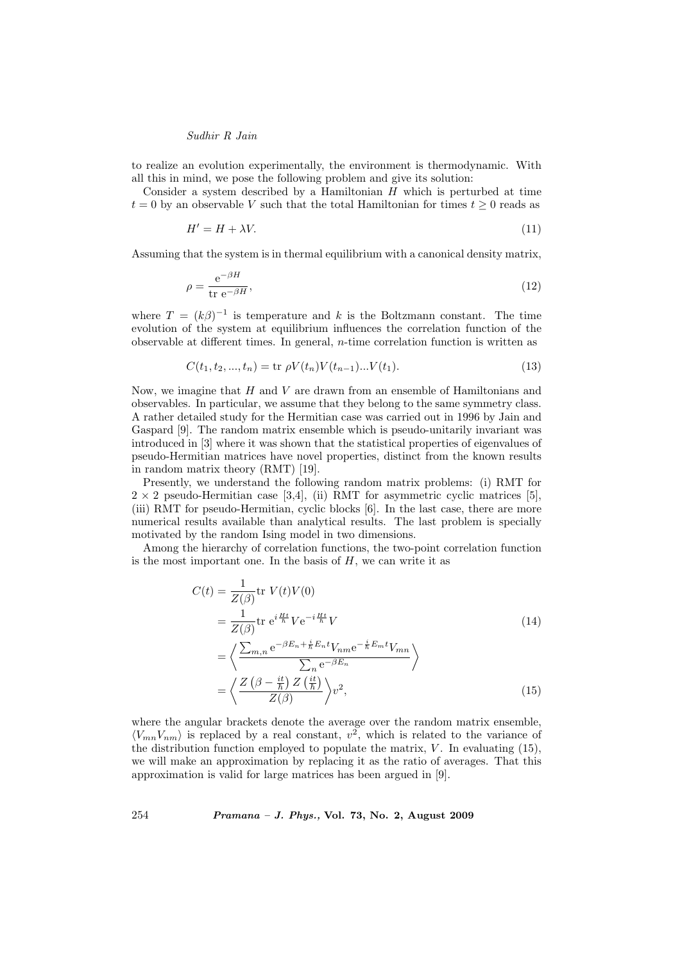# Sudhir R Jain

to realize an evolution experimentally, the environment is thermodynamic. With all this in mind, we pose the following problem and give its solution:

Consider a system described by a Hamiltonian  $H$  which is perturbed at time  $t = 0$  by an observable V such that the total Hamiltonian for times  $t \geq 0$  reads as

$$
H' = H + \lambda V. \tag{11}
$$

Assuming that the system is in thermal equilibrium with a canonical density matrix,

$$
\rho = \frac{e^{-\beta H}}{\text{tr } e^{-\beta H}},\tag{12}
$$

where  $T = (k\beta)^{-1}$  is temperature and k is the Boltzmann constant. The time evolution of the system at equilibrium influences the correlation function of the observable at different times. In general,  $n$ -time correlation function is written as

$$
C(t_1, t_2, ..., t_n) = \text{tr } \rho V(t_n) V(t_{n-1}) ... V(t_1).
$$
\n(13)

Now, we imagine that  $H$  and  $V$  are drawn from an ensemble of Hamiltonians and observables. In particular, we assume that they belong to the same symmetry class. A rather detailed study for the Hermitian case was carried out in 1996 by Jain and Gaspard [9]. The random matrix ensemble which is pseudo-unitarily invariant was introduced in [3] where it was shown that the statistical properties of eigenvalues of pseudo-Hermitian matrices have novel properties, distinct from the known results in random matrix theory (RMT) [19].

Presently, we understand the following random matrix problems: (i) RMT for  $2 \times 2$  pseudo-Hermitian case [3,4], (ii) RMT for asymmetric cyclic matrices [5], (iii) RMT for pseudo-Hermitian, cyclic blocks [6]. In the last case, there are more numerical results available than analytical results. The last problem is specially motivated by the random Ising model in two dimensions.

Among the hierarchy of correlation functions, the two-point correlation function is the most important one. In the basis of  $H$ , we can write it as

$$
C(t) = \frac{1}{Z(\beta)} \text{tr } V(t)V(0)
$$
  
\n
$$
= \frac{1}{Z(\beta)} \text{tr } e^{i\frac{Ht}{\hbar}} V e^{-i\frac{Ht}{\hbar}} V
$$
  
\n
$$
= \left\langle \frac{\sum_{m,n} e^{-\beta E_n + \frac{i}{\hbar} E_n t} V_{nm} e^{-\frac{i}{\hbar} E_m t} V_{mn}}{\sum_n e^{-\beta E_n}} \right\rangle
$$
  
\n
$$
= \left\langle \frac{Z\left(\beta - \frac{it}{\hbar}\right) Z\left(\frac{it}{\hbar}\right)}{Z(\beta)} \right\rangle v^2,
$$
\n(15)

where the angular brackets denote the average over the random matrix ensemble,  $\langle V_{mn}V_{nm} \rangle$  is replaced by a real constant,  $v^2$ , which is related to the variance of the distribution function employed to populate the matrix,  $V$ . In evaluating (15), we will make an approximation by replacing it as the ratio of averages. That this approximation is valid for large matrices has been argued in [9].

254 Pramana – J. Phys., Vol. 73, No. 2, August 2009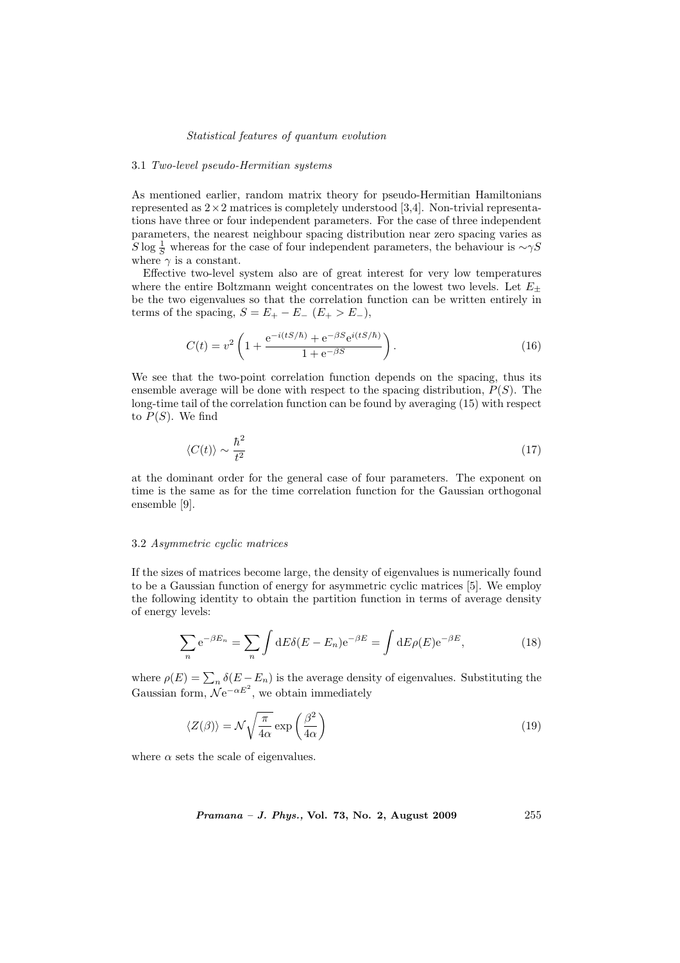### Statistical features of quantum evolution

#### 3.1 Two-level pseudo-Hermitian systems

As mentioned earlier, random matrix theory for pseudo-Hermitian Hamiltonians represented as  $2 \times 2$  matrices is completely understood [3,4]. Non-trivial representations have three or four independent parameters. For the case of three independent parameters, the nearest neighbour spacing distribution near zero spacing varies as  $S \log \frac{1}{S}$  whereas for the case of four independent parameters, the behaviour is  $\sim \gamma S$ where  $\gamma$  is a constant.

Effective two-level system also are of great interest for very low temperatures where the entire Boltzmann weight concentrates on the lowest two levels. Let  $E_{\pm}$ be the two eigenvalues so that the correlation function can be written entirely in terms of the spacing,  $S = E_+ - E_-\ (E_+ > E_-),$ 

$$
C(t) = v^2 \left( 1 + \frac{e^{-i(tS/\hbar)} + e^{-\beta S} e^{i(tS/\hbar)}}{1 + e^{-\beta S}} \right).
$$
 (16)

We see that the two-point correlation function depends on the spacing, thus its ensemble average will be done with respect to the spacing distribution,  $P(S)$ . The long-time tail of the correlation function can be found by averaging (15) with respect to  $P(S)$ . We find

$$
\langle C(t) \rangle \sim \frac{\hbar^2}{t^2} \tag{17}
$$

at the dominant order for the general case of four parameters. The exponent on time is the same as for the time correlation function for the Gaussian orthogonal ensemble [9].

# 3.2 Asymmetric cyclic matrices

If the sizes of matrices become large, the density of eigenvalues is numerically found to be a Gaussian function of energy for asymmetric cyclic matrices [5]. We employ the following identity to obtain the partition function in terms of average density of energy levels:

$$
\sum_{n} e^{-\beta E_n} = \sum_{n} \int dE \delta(E - E_n) e^{-\beta E} = \int dE \rho(E) e^{-\beta E}, \qquad (18)
$$

where  $\rho(E) = \sum_n \delta(E - E_n)$  is the average density of eigenvalues. Substituting the Gaussian form,  $\mathcal{N}e^{-\alpha E^2}$ , we obtain immediately

$$
\langle Z(\beta) \rangle = \mathcal{N} \sqrt{\frac{\pi}{4\alpha}} \exp\left(\frac{\beta^2}{4\alpha}\right) \tag{19}
$$

where  $\alpha$  sets the scale of eigenvalues.

Pramana – J. Phys., Vol. 73, No. 2, August 2009

\n
$$
255
$$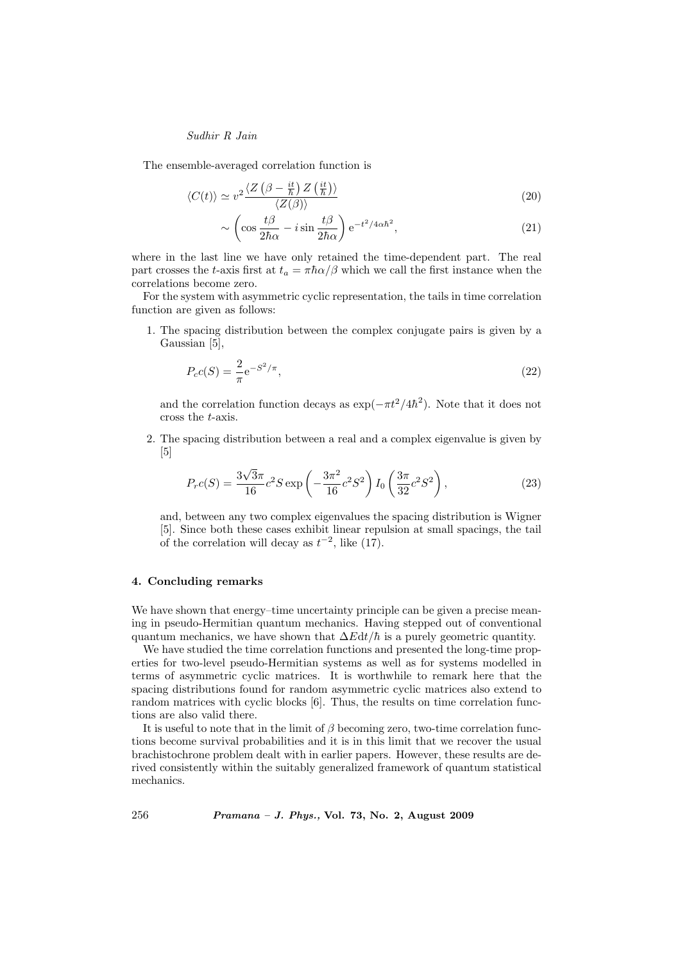# Sudhir R Jain

The ensemble-averaged correlation function is

$$
\langle C(t) \rangle \simeq v^2 \frac{\langle Z\left(\beta - \frac{it}{\hbar}\right) Z\left(\frac{it}{\hbar}\right) \rangle}{\langle Z(\beta) \rangle} \tag{20}
$$

$$
\sim \left(\cos\frac{t\beta}{2\hbar\alpha} - i\sin\frac{t\beta}{2\hbar\alpha}\right) e^{-t^2/4\alpha\hbar^2},\tag{21}
$$

where in the last line we have only retained the time-dependent part. The real part crosses the t-axis first at  $t_a = \pi \hbar \alpha/\beta$  which we call the first instance when the correlations become zero.

For the system with asymmetric cyclic representation, the tails in time correlation function are given as follows:

1. The spacing distribution between the complex conjugate pairs is given by a Gaussian [5],

$$
P_c c(S) = \frac{2}{\pi} e^{-S^2/\pi},
$$
\n(22)

and the correlation function decays as  $\exp(-\pi t^2/4\hbar^2)$ . Note that it does not cross the t-axis.

2. The spacing distribution between a real and a complex eigenvalue is given by [5]

$$
P_r c(S) = \frac{3\sqrt{3}\pi}{16} c^2 S \exp\left(-\frac{3\pi^2}{16} c^2 S^2\right) I_0 \left(\frac{3\pi}{32} c^2 S^2\right),\tag{23}
$$

and, between any two complex eigenvalues the spacing distribution is Wigner [5]. Since both these cases exhibit linear repulsion at small spacings, the tail of the correlation will decay as  $t^{-2}$ , like (17).

# 4. Concluding remarks

We have shown that energy–time uncertainty principle can be given a precise meaning in pseudo-Hermitian quantum mechanics. Having stepped out of conventional quantum mechanics, we have shown that  $\Delta E dt / \hbar$  is a purely geometric quantity.

We have studied the time correlation functions and presented the long-time properties for two-level pseudo-Hermitian systems as well as for systems modelled in terms of asymmetric cyclic matrices. It is worthwhile to remark here that the spacing distributions found for random asymmetric cyclic matrices also extend to random matrices with cyclic blocks [6]. Thus, the results on time correlation functions are also valid there.

It is useful to note that in the limit of  $\beta$  becoming zero, two-time correlation functions become survival probabilities and it is in this limit that we recover the usual brachistochrone problem dealt with in earlier papers. However, these results are derived consistently within the suitably generalized framework of quantum statistical mechanics.

256 Pramana – J. Phys., Vol. 73, No. 2, August 2009